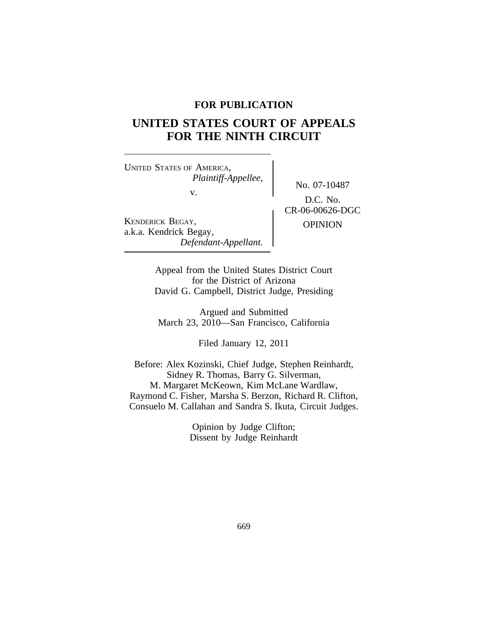# **FOR PUBLICATION**

# **UNITED STATES COURT OF APPEALS FOR THE NINTH CIRCUIT**

<sup>U</sup>NITED STATES OF AMERICA, *Plaintiff-Appellee,*

v.

KENDERICK BEGAY, OPINION a.k.a. Kendrick Begay, *Defendant-Appellant.*

No. 07-10487 D.C. No. CR-06-00626-DGC

Appeal from the United States District Court for the District of Arizona David G. Campbell, District Judge, Presiding

Argued and Submitted March 23, 2010—San Francisco, California

Filed January 12, 2011

Before: Alex Kozinski, Chief Judge, Stephen Reinhardt, Sidney R. Thomas, Barry G. Silverman, M. Margaret McKeown, Kim McLane Wardlaw, Raymond C. Fisher, Marsha S. Berzon, Richard R. Clifton, Consuelo M. Callahan and Sandra S. Ikuta, Circuit Judges.

> Opinion by Judge Clifton; Dissent by Judge Reinhardt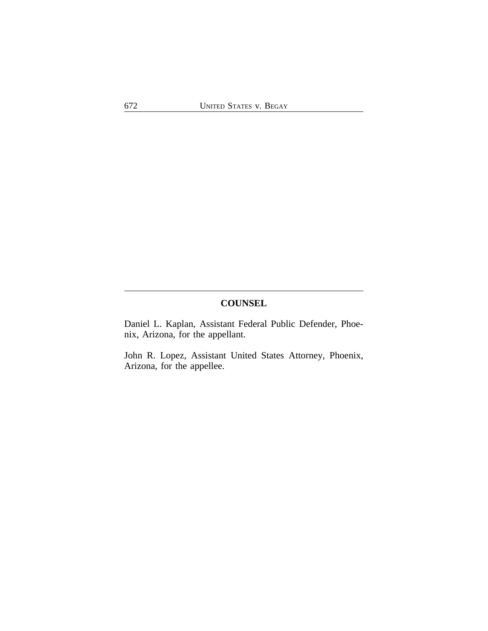# **COUNSEL**

Daniel L. Kaplan, Assistant Federal Public Defender, Phoenix, Arizona, for the appellant.

John R. Lopez, Assistant United States Attorney, Phoenix, Arizona, for the appellee.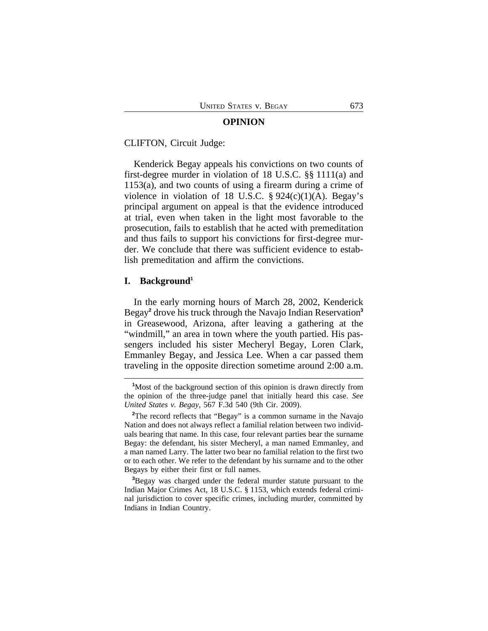#### **OPINION**

CLIFTON, Circuit Judge:

Kenderick Begay appeals his convictions on two counts of first-degree murder in violation of 18 U.S.C. §§ 1111(a) and 1153(a), and two counts of using a firearm during a crime of violence in violation of 18 U.S.C.  $\S 924(c)(1)(A)$ . Begay's principal argument on appeal is that the evidence introduced at trial, even when taken in the light most favorable to the prosecution, fails to establish that he acted with premeditation and thus fails to support his convictions for first-degree murder. We conclude that there was sufficient evidence to establish premeditation and affirm the convictions.

## **I. Background<sup>1</sup>**

In the early morning hours of March 28, 2002, Kenderick Begay**<sup>2</sup>** drove his truck through the Navajo Indian Reservation**<sup>3</sup>** in Greasewood, Arizona, after leaving a gathering at the "windmill," an area in town where the youth partied. His passengers included his sister Mecheryl Begay, Loren Clark, Emmanley Begay, and Jessica Lee. When a car passed them traveling in the opposite direction sometime around 2:00 a.m.

**<sup>3</sup>**Begay was charged under the federal murder statute pursuant to the Indian Major Crimes Act, 18 U.S.C. § 1153, which extends federal criminal jurisdiction to cover specific crimes, including murder, committed by Indians in Indian Country.

**<sup>1</sup>**Most of the background section of this opinion is drawn directly from the opinion of the three-judge panel that initially heard this case. *See United States v. Begay*, 567 F.3d 540 (9th Cir. 2009).

<sup>&</sup>lt;sup>2</sup>The record reflects that "Begay" is a common surname in the Navajo Nation and does not always reflect a familial relation between two individuals bearing that name. In this case, four relevant parties bear the surname Begay: the defendant, his sister Mecheryl, a man named Emmanley, and a man named Larry. The latter two bear no familial relation to the first two or to each other. We refer to the defendant by his surname and to the other Begays by either their first or full names.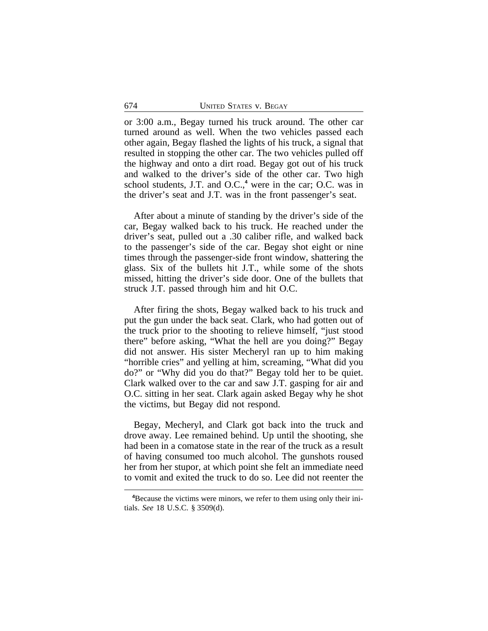or 3:00 a.m., Begay turned his truck around. The other car turned around as well. When the two vehicles passed each other again, Begay flashed the lights of his truck, a signal that resulted in stopping the other car. The two vehicles pulled off the highway and onto a dirt road. Begay got out of his truck and walked to the driver's side of the other car. Two high school students, J.T. and O.C.,<sup>4</sup> were in the car; O.C. was in the driver's seat and J.T. was in the front passenger's seat.

After about a minute of standing by the driver's side of the car, Begay walked back to his truck. He reached under the driver's seat, pulled out a .30 caliber rifle, and walked back to the passenger's side of the car. Begay shot eight or nine times through the passenger-side front window, shattering the glass. Six of the bullets hit J.T., while some of the shots missed, hitting the driver's side door. One of the bullets that struck J.T. passed through him and hit O.C.

After firing the shots, Begay walked back to his truck and put the gun under the back seat. Clark, who had gotten out of the truck prior to the shooting to relieve himself, "just stood there" before asking, "What the hell are you doing?" Begay did not answer. His sister Mecheryl ran up to him making "horrible cries" and yelling at him, screaming, "What did you do?" or "Why did you do that?" Begay told her to be quiet. Clark walked over to the car and saw J.T. gasping for air and O.C. sitting in her seat. Clark again asked Begay why he shot the victims, but Begay did not respond.

Begay, Mecheryl, and Clark got back into the truck and drove away. Lee remained behind. Up until the shooting, she had been in a comatose state in the rear of the truck as a result of having consumed too much alcohol. The gunshots roused her from her stupor, at which point she felt an immediate need to vomit and exited the truck to do so. Lee did not reenter the

**<sup>4</sup>**Because the victims were minors, we refer to them using only their initials. *See* 18 U.S.C. § 3509(d).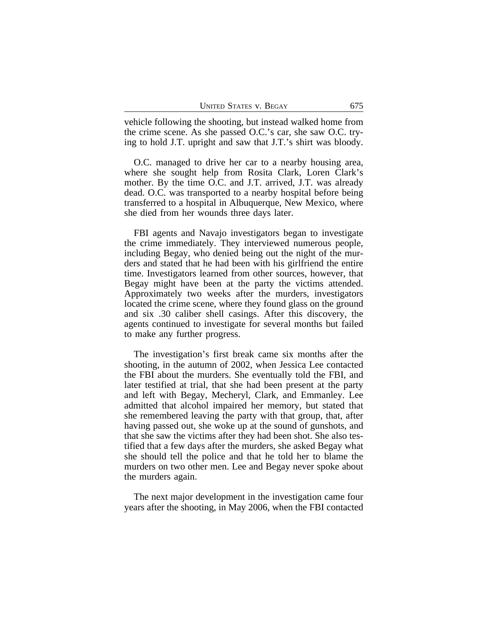| <b>UNITED STATES V. BEGAY</b> |  | 675 |
|-------------------------------|--|-----|
|                               |  |     |

vehicle following the shooting, but instead walked home from the crime scene. As she passed O.C.'s car, she saw O.C. trying to hold J.T. upright and saw that J.T.'s shirt was bloody.

O.C. managed to drive her car to a nearby housing area, where she sought help from Rosita Clark, Loren Clark's mother. By the time O.C. and J.T. arrived, J.T. was already dead. O.C. was transported to a nearby hospital before being transferred to a hospital in Albuquerque, New Mexico, where she died from her wounds three days later.

FBI agents and Navajo investigators began to investigate the crime immediately. They interviewed numerous people, including Begay, who denied being out the night of the murders and stated that he had been with his girlfriend the entire time. Investigators learned from other sources, however, that Begay might have been at the party the victims attended. Approximately two weeks after the murders, investigators located the crime scene, where they found glass on the ground and six .30 caliber shell casings. After this discovery, the agents continued to investigate for several months but failed to make any further progress.

The investigation's first break came six months after the shooting, in the autumn of 2002, when Jessica Lee contacted the FBI about the murders. She eventually told the FBI, and later testified at trial, that she had been present at the party and left with Begay, Mecheryl, Clark, and Emmanley. Lee admitted that alcohol impaired her memory, but stated that she remembered leaving the party with that group, that, after having passed out, she woke up at the sound of gunshots, and that she saw the victims after they had been shot. She also testified that a few days after the murders, she asked Begay what she should tell the police and that he told her to blame the murders on two other men. Lee and Begay never spoke about the murders again.

The next major development in the investigation came four years after the shooting, in May 2006, when the FBI contacted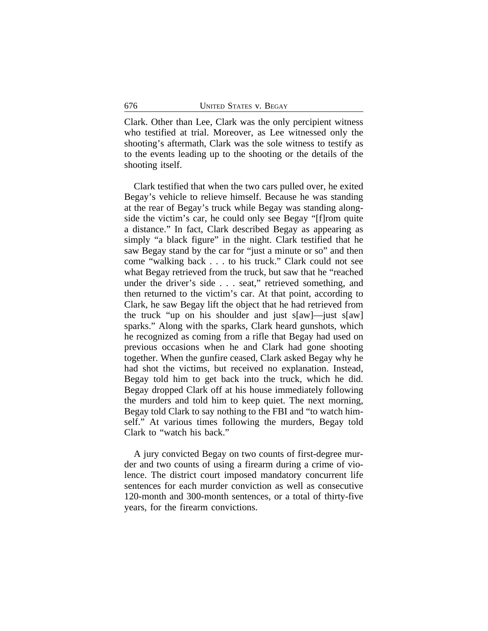Clark. Other than Lee, Clark was the only percipient witness who testified at trial. Moreover, as Lee witnessed only the shooting's aftermath, Clark was the sole witness to testify as to the events leading up to the shooting or the details of the shooting itself.

Clark testified that when the two cars pulled over, he exited Begay's vehicle to relieve himself. Because he was standing at the rear of Begay's truck while Begay was standing alongside the victim's car, he could only see Begay "[f]rom quite a distance." In fact, Clark described Begay as appearing as simply "a black figure" in the night. Clark testified that he saw Begay stand by the car for "just a minute or so" and then come "walking back . . . to his truck." Clark could not see what Begay retrieved from the truck, but saw that he "reached under the driver's side . . . seat," retrieved something, and then returned to the victim's car. At that point, according to Clark, he saw Begay lift the object that he had retrieved from the truck "up on his shoulder and just s[aw]—just s[aw] sparks." Along with the sparks, Clark heard gunshots, which he recognized as coming from a rifle that Begay had used on previous occasions when he and Clark had gone shooting together. When the gunfire ceased, Clark asked Begay why he had shot the victims, but received no explanation. Instead, Begay told him to get back into the truck, which he did. Begay dropped Clark off at his house immediately following the murders and told him to keep quiet. The next morning, Begay told Clark to say nothing to the FBI and "to watch himself." At various times following the murders, Begay told Clark to "watch his back."

A jury convicted Begay on two counts of first-degree murder and two counts of using a firearm during a crime of violence. The district court imposed mandatory concurrent life sentences for each murder conviction as well as consecutive 120-month and 300-month sentences, or a total of thirty-five years, for the firearm convictions.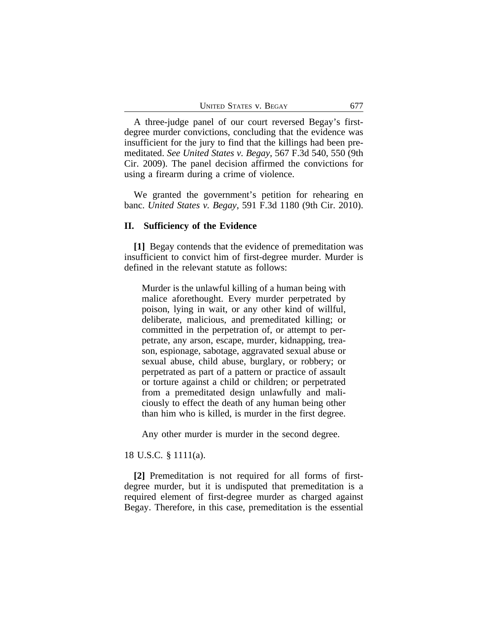A three-judge panel of our court reversed Begay's firstdegree murder convictions, concluding that the evidence was insufficient for the jury to find that the killings had been premeditated. *See United States v. Begay*, 567 F.3d 540, 550 (9th Cir. 2009). The panel decision affirmed the convictions for using a firearm during a crime of violence.

We granted the government's petition for rehearing en banc. *United States v. Begay*, 591 F.3d 1180 (9th Cir. 2010).

## **II. Sufficiency of the Evidence**

**[1]** Begay contends that the evidence of premeditation was insufficient to convict him of first-degree murder. Murder is defined in the relevant statute as follows:

Murder is the unlawful killing of a human being with malice aforethought. Every murder perpetrated by poison, lying in wait, or any other kind of willful, deliberate, malicious, and premeditated killing; or committed in the perpetration of, or attempt to perpetrate, any arson, escape, murder, kidnapping, treason, espionage, sabotage, aggravated sexual abuse or sexual abuse, child abuse, burglary, or robbery; or perpetrated as part of a pattern or practice of assault or torture against a child or children; or perpetrated from a premeditated design unlawfully and maliciously to effect the death of any human being other than him who is killed, is murder in the first degree.

Any other murder is murder in the second degree.

# 18 U.S.C. § 1111(a).

**[2]** Premeditation is not required for all forms of firstdegree murder, but it is undisputed that premeditation is a required element of first-degree murder as charged against Begay. Therefore, in this case, premeditation is the essential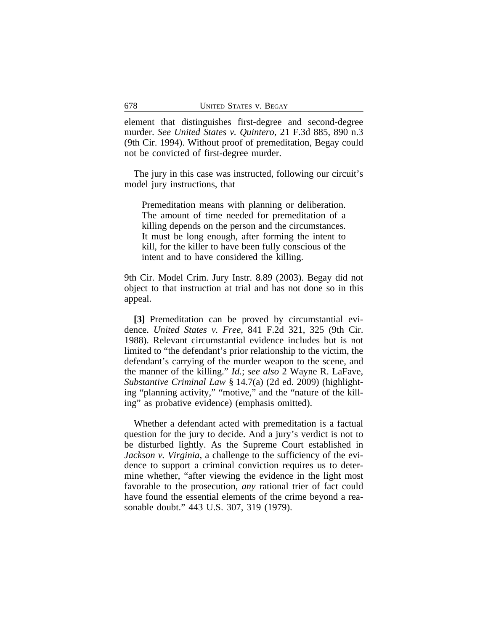element that distinguishes first-degree and second-degree murder. *See United States v. Quintero*, 21 F.3d 885, 890 n.3 (9th Cir. 1994). Without proof of premeditation, Begay could not be convicted of first-degree murder.

The jury in this case was instructed, following our circuit's model jury instructions, that

Premeditation means with planning or deliberation. The amount of time needed for premeditation of a killing depends on the person and the circumstances. It must be long enough, after forming the intent to kill, for the killer to have been fully conscious of the intent and to have considered the killing.

9th Cir. Model Crim. Jury Instr. 8.89 (2003). Begay did not object to that instruction at trial and has not done so in this appeal.

**[3]** Premeditation can be proved by circumstantial evidence. *United States v. Free*, 841 F.2d 321, 325 (9th Cir. 1988). Relevant circumstantial evidence includes but is not limited to "the defendant's prior relationship to the victim, the defendant's carrying of the murder weapon to the scene, and the manner of the killing." *Id.*; *see also* 2 Wayne R. LaFave, *Substantive Criminal Law* § 14.7(a) (2d ed. 2009) (highlighting "planning activity," "motive," and the "nature of the killing" as probative evidence) (emphasis omitted).

Whether a defendant acted with premeditation is a factual question for the jury to decide. And a jury's verdict is not to be disturbed lightly. As the Supreme Court established in *Jackson v. Virginia*, a challenge to the sufficiency of the evidence to support a criminal conviction requires us to determine whether, "after viewing the evidence in the light most favorable to the prosecution, *any* rational trier of fact could have found the essential elements of the crime beyond a reasonable doubt." 443 U.S. 307, 319 (1979).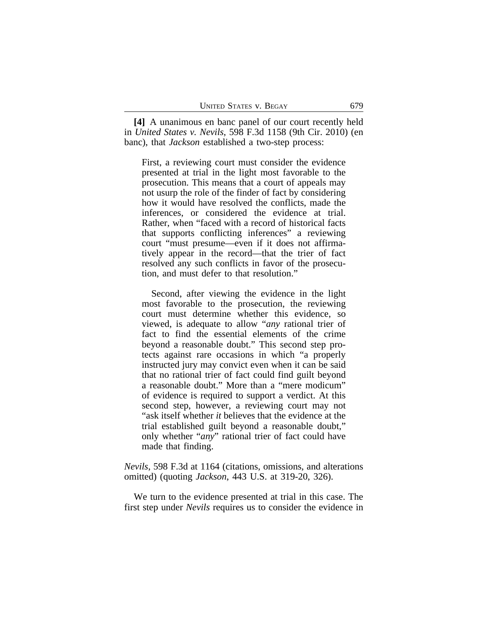**[4]** A unanimous en banc panel of our court recently held in *United States v. Nevils*, 598 F.3d 1158 (9th Cir. 2010) (en banc), that *Jackson* established a two-step process:

First, a reviewing court must consider the evidence presented at trial in the light most favorable to the prosecution. This means that a court of appeals may not usurp the role of the finder of fact by considering how it would have resolved the conflicts, made the inferences, or considered the evidence at trial. Rather, when "faced with a record of historical facts that supports conflicting inferences" a reviewing court "must presume—even if it does not affirmatively appear in the record—that the trier of fact resolved any such conflicts in favor of the prosecution, and must defer to that resolution."

Second, after viewing the evidence in the light most favorable to the prosecution, the reviewing court must determine whether this evidence, so viewed, is adequate to allow "*any* rational trier of fact to find the essential elements of the crime beyond a reasonable doubt." This second step protects against rare occasions in which "a properly instructed jury may convict even when it can be said that no rational trier of fact could find guilt beyond a reasonable doubt." More than a "mere modicum" of evidence is required to support a verdict. At this second step, however, a reviewing court may not "ask itself whether *it* believes that the evidence at the trial established guilt beyond a reasonable doubt," only whether "*any*" rational trier of fact could have made that finding.

*Nevils*, 598 F.3d at 1164 (citations, omissions, and alterations omitted) (quoting *Jackson*, 443 U.S. at 319-20, 326).

We turn to the evidence presented at trial in this case. The first step under *Nevils* requires us to consider the evidence in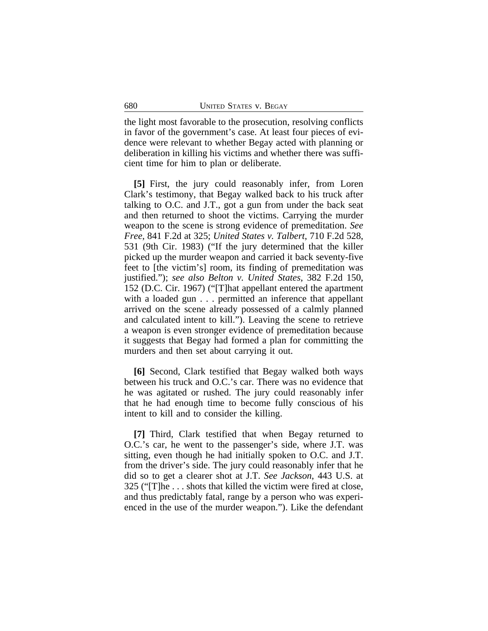the light most favorable to the prosecution, resolving conflicts in favor of the government's case. At least four pieces of evidence were relevant to whether Begay acted with planning or deliberation in killing his victims and whether there was sufficient time for him to plan or deliberate.

**[5]** First, the jury could reasonably infer, from Loren Clark's testimony, that Begay walked back to his truck after talking to O.C. and J.T., got a gun from under the back seat and then returned to shoot the victims. Carrying the murder weapon to the scene is strong evidence of premeditation. *See Free*, 841 F.2d at 325; *United States v. Talbert*, 710 F.2d 528, 531 (9th Cir. 1983) ("If the jury determined that the killer picked up the murder weapon and carried it back seventy-five feet to [the victim's] room, its finding of premeditation was justified."); *see also Belton v. United States*, 382 F.2d 150, 152 (D.C. Cir. 1967) ("[T]hat appellant entered the apartment with a loaded gun . . . permitted an inference that appellant arrived on the scene already possessed of a calmly planned and calculated intent to kill."). Leaving the scene to retrieve a weapon is even stronger evidence of premeditation because it suggests that Begay had formed a plan for committing the murders and then set about carrying it out.

**[6]** Second, Clark testified that Begay walked both ways between his truck and O.C.'s car. There was no evidence that he was agitated or rushed. The jury could reasonably infer that he had enough time to become fully conscious of his intent to kill and to consider the killing.

**[7]** Third, Clark testified that when Begay returned to O.C.'s car, he went to the passenger's side, where J.T. was sitting, even though he had initially spoken to O.C. and J.T. from the driver's side. The jury could reasonably infer that he did so to get a clearer shot at J.T. *See Jackson*, 443 U.S. at 325 ("[T]he . . . shots that killed the victim were fired at close, and thus predictably fatal, range by a person who was experienced in the use of the murder weapon."). Like the defendant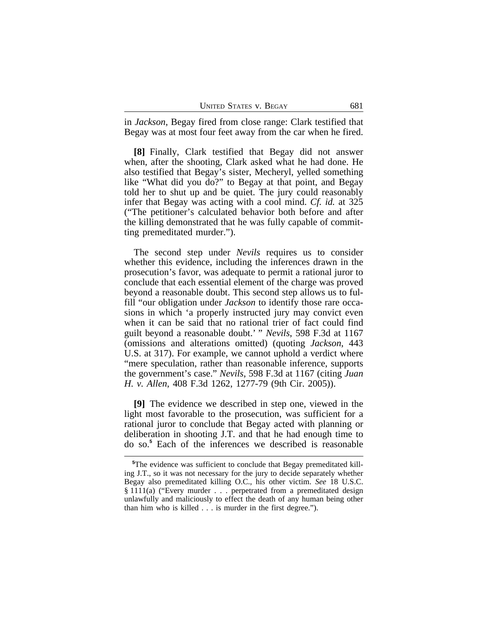in *Jackson*, Begay fired from close range: Clark testified that Begay was at most four feet away from the car when he fired.

**[8]** Finally, Clark testified that Begay did not answer when, after the shooting, Clark asked what he had done. He also testified that Begay's sister, Mecheryl, yelled something like "What did you do?" to Begay at that point, and Begay told her to shut up and be quiet. The jury could reasonably infer that Begay was acting with a cool mind. *Cf. id.* at 325 ("The petitioner's calculated behavior both before and after the killing demonstrated that he was fully capable of committing premeditated murder.").

The second step under *Nevils* requires us to consider whether this evidence, including the inferences drawn in the prosecution's favor, was adequate to permit a rational juror to conclude that each essential element of the charge was proved beyond a reasonable doubt. This second step allows us to fulfill "our obligation under *Jackson* to identify those rare occasions in which 'a properly instructed jury may convict even when it can be said that no rational trier of fact could find guilt beyond a reasonable doubt.' " *Nevils*, 598 F.3d at 1167 (omissions and alterations omitted) (quoting *Jackson*, 443 U.S. at 317). For example, we cannot uphold a verdict where "mere speculation, rather than reasonable inference, supports the government's case." *Nevils*, 598 F.3d at 1167 (citing *Juan H. v. Allen*, 408 F.3d 1262, 1277-79 (9th Cir. 2005)).

**[9]** The evidence we described in step one, viewed in the light most favorable to the prosecution, was sufficient for a rational juror to conclude that Begay acted with planning or deliberation in shooting J.T. and that he had enough time to do so.**<sup>5</sup>** Each of the inferences we described is reasonable

**<sup>5</sup>**The evidence was sufficient to conclude that Begay premeditated killing J.T., so it was not necessary for the jury to decide separately whether Begay also premeditated killing O.C., his other victim. *See* 18 U.S.C. § 1111(a) ("Every murder . . . perpetrated from a premeditated design unlawfully and maliciously to effect the death of any human being other than him who is killed . . . is murder in the first degree.").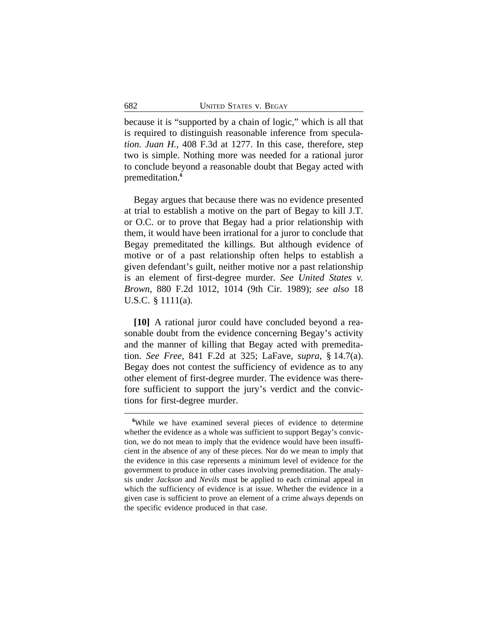because it is "supported by a chain of logic," which is all that is required to distinguish reasonable inference from specula*tion. Juan H.*, 408 F.3d at 1277. In this case, therefore, step two is simple. Nothing more was needed for a rational juror to conclude beyond a reasonable doubt that Begay acted with premeditation.**<sup>6</sup>**

Begay argues that because there was no evidence presented at trial to establish a motive on the part of Begay to kill J.T. or O.C. or to prove that Begay had a prior relationship with them, it would have been irrational for a juror to conclude that Begay premeditated the killings. But although evidence of motive or of a past relationship often helps to establish a given defendant's guilt, neither motive nor a past relationship is an element of first-degree murder. *See United States v. Brown*, 880 F.2d 1012, 1014 (9th Cir. 1989); *see also* 18 U.S.C. § 1111(a).

**[10]** A rational juror could have concluded beyond a reasonable doubt from the evidence concerning Begay's activity and the manner of killing that Begay acted with premeditation. *See Free*, 841 F.2d at 325; LaFave, *supra*, § 14.7(a). Begay does not contest the sufficiency of evidence as to any other element of first-degree murder. The evidence was therefore sufficient to support the jury's verdict and the convictions for first-degree murder.

**<sup>6</sup>**While we have examined several pieces of evidence to determine whether the evidence as a whole was sufficient to support Begay's conviction, we do not mean to imply that the evidence would have been insufficient in the absence of any of these pieces. Nor do we mean to imply that the evidence in this case represents a minimum level of evidence for the government to produce in other cases involving premeditation. The analysis under *Jackson* and *Nevils* must be applied to each criminal appeal in which the sufficiency of evidence is at issue. Whether the evidence in a given case is sufficient to prove an element of a crime always depends on the specific evidence produced in that case.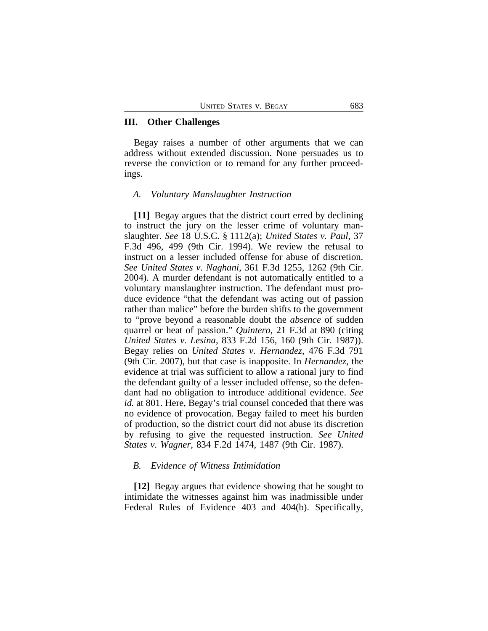## **III. Other Challenges**

Begay raises a number of other arguments that we can address without extended discussion. None persuades us to reverse the conviction or to remand for any further proceedings.

#### *A. Voluntary Manslaughter Instruction*

**[11]** Begay argues that the district court erred by declining to instruct the jury on the lesser crime of voluntary manslaughter. *See* 18 U.S.C. § 1112(a); *United States v. Paul*, 37 F.3d 496, 499 (9th Cir. 1994). We review the refusal to instruct on a lesser included offense for abuse of discretion. *See United States v. Naghani*, 361 F.3d 1255, 1262 (9th Cir. 2004). A murder defendant is not automatically entitled to a voluntary manslaughter instruction. The defendant must produce evidence "that the defendant was acting out of passion rather than malice" before the burden shifts to the government to "prove beyond a reasonable doubt the *absence* of sudden quarrel or heat of passion." *Quintero*, 21 F.3d at 890 (citing *United States v. Lesina*, 833 F.2d 156, 160 (9th Cir. 1987)). Begay relies on *United States v. Hernandez*, 476 F.3d 791 (9th Cir. 2007), but that case is inapposite. In *Hernandez*, the evidence at trial was sufficient to allow a rational jury to find the defendant guilty of a lesser included offense, so the defendant had no obligation to introduce additional evidence. *See id.* at 801. Here, Begay's trial counsel conceded that there was no evidence of provocation. Begay failed to meet his burden of production, so the district court did not abuse its discretion by refusing to give the requested instruction. *See United States v. Wagner*, 834 F.2d 1474, 1487 (9th Cir. 1987).

## *B. Evidence of Witness Intimidation*

**[12]** Begay argues that evidence showing that he sought to intimidate the witnesses against him was inadmissible under Federal Rules of Evidence 403 and 404(b). Specifically,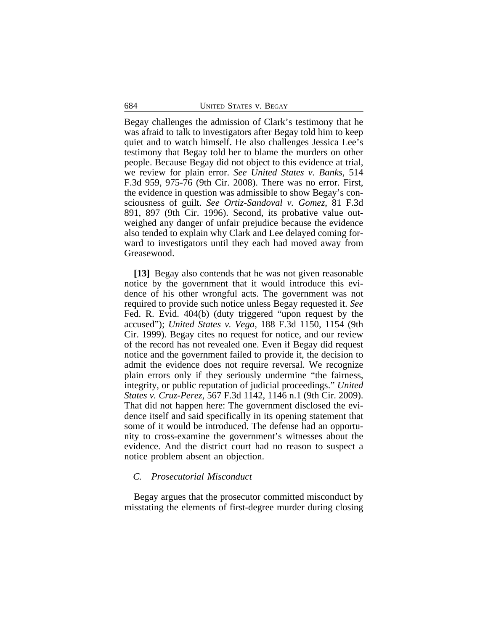Begay challenges the admission of Clark's testimony that he was afraid to talk to investigators after Begay told him to keep quiet and to watch himself. He also challenges Jessica Lee's testimony that Begay told her to blame the murders on other people. Because Begay did not object to this evidence at trial, we review for plain error. *See United States v. Banks*, 514 F.3d 959, 975-76 (9th Cir. 2008). There was no error. First, the evidence in question was admissible to show Begay's consciousness of guilt. *See Ortiz-Sandoval v. Gomez*, 81 F.3d 891, 897 (9th Cir. 1996). Second, its probative value outweighed any danger of unfair prejudice because the evidence also tended to explain why Clark and Lee delayed coming forward to investigators until they each had moved away from Greasewood.

**[13]** Begay also contends that he was not given reasonable notice by the government that it would introduce this evidence of his other wrongful acts. The government was not required to provide such notice unless Begay requested it. *See* Fed. R. Evid. 404(b) (duty triggered "upon request by the accused"); *United States v. Vega*, 188 F.3d 1150, 1154 (9th Cir. 1999). Begay cites no request for notice, and our review of the record has not revealed one. Even if Begay did request notice and the government failed to provide it, the decision to admit the evidence does not require reversal. We recognize plain errors only if they seriously undermine "the fairness, integrity, or public reputation of judicial proceedings." *United States v. Cruz-Perez*, 567 F.3d 1142, 1146 n.1 (9th Cir. 2009). That did not happen here: The government disclosed the evidence itself and said specifically in its opening statement that some of it would be introduced. The defense had an opportunity to cross-examine the government's witnesses about the evidence. And the district court had no reason to suspect a notice problem absent an objection.

## *C. Prosecutorial Misconduct*

Begay argues that the prosecutor committed misconduct by misstating the elements of first-degree murder during closing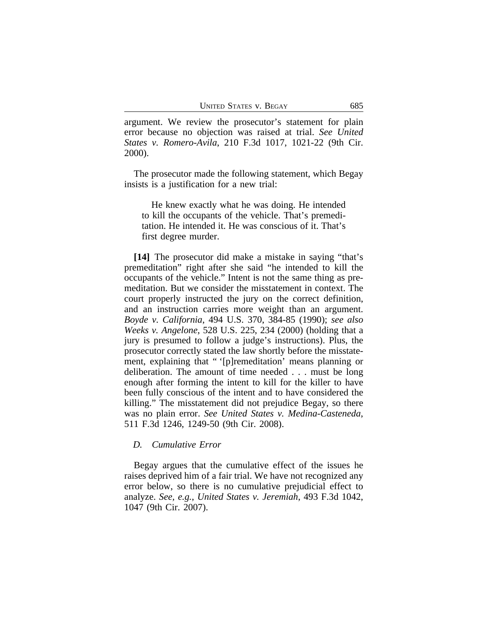argument. We review the prosecutor's statement for plain error because no objection was raised at trial. *See United States v. Romero-Avila*, 210 F.3d 1017, 1021-22 (9th Cir. 2000).

The prosecutor made the following statement, which Begay insists is a justification for a new trial:

He knew exactly what he was doing. He intended to kill the occupants of the vehicle. That's premeditation. He intended it. He was conscious of it. That's first degree murder.

**[14]** The prosecutor did make a mistake in saying "that's premeditation" right after she said "he intended to kill the occupants of the vehicle." Intent is not the same thing as premeditation. But we consider the misstatement in context. The court properly instructed the jury on the correct definition, and an instruction carries more weight than an argument. *Boyde v. California*, 494 U.S. 370, 384-85 (1990); *see also Weeks v. Angelone*, 528 U.S. 225, 234 (2000) (holding that a jury is presumed to follow a judge's instructions). Plus, the prosecutor correctly stated the law shortly before the misstatement, explaining that " '[p]remeditation' means planning or deliberation. The amount of time needed . . . must be long enough after forming the intent to kill for the killer to have been fully conscious of the intent and to have considered the killing." The misstatement did not prejudice Begay, so there was no plain error. *See United States v. Medina-Casteneda*, 511 F.3d 1246, 1249-50 (9th Cir. 2008).

## *D. Cumulative Error*

Begay argues that the cumulative effect of the issues he raises deprived him of a fair trial. We have not recognized any error below, so there is no cumulative prejudicial effect to analyze. *See, e.g.*, *United States v. Jeremiah*, 493 F.3d 1042, 1047 (9th Cir. 2007).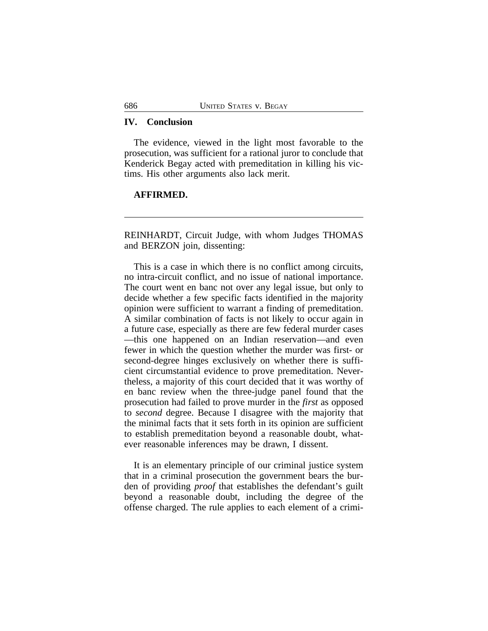## **IV. Conclusion**

The evidence, viewed in the light most favorable to the prosecution, was sufficient for a rational juror to conclude that Kenderick Begay acted with premeditation in killing his victims. His other arguments also lack merit.

## **AFFIRMED.**

REINHARDT, Circuit Judge, with whom Judges THOMAS and BERZON join, dissenting:

This is a case in which there is no conflict among circuits, no intra-circuit conflict, and no issue of national importance. The court went en banc not over any legal issue, but only to decide whether a few specific facts identified in the majority opinion were sufficient to warrant a finding of premeditation. A similar combination of facts is not likely to occur again in a future case, especially as there are few federal murder cases —this one happened on an Indian reservation—and even fewer in which the question whether the murder was first- or second-degree hinges exclusively on whether there is sufficient circumstantial evidence to prove premeditation. Nevertheless, a majority of this court decided that it was worthy of en banc review when the three-judge panel found that the prosecution had failed to prove murder in the *first* as opposed to *second* degree. Because I disagree with the majority that the minimal facts that it sets forth in its opinion are sufficient to establish premeditation beyond a reasonable doubt, whatever reasonable inferences may be drawn, I dissent.

It is an elementary principle of our criminal justice system that in a criminal prosecution the government bears the burden of providing *proof* that establishes the defendant's guilt beyond a reasonable doubt, including the degree of the offense charged. The rule applies to each element of a crimi-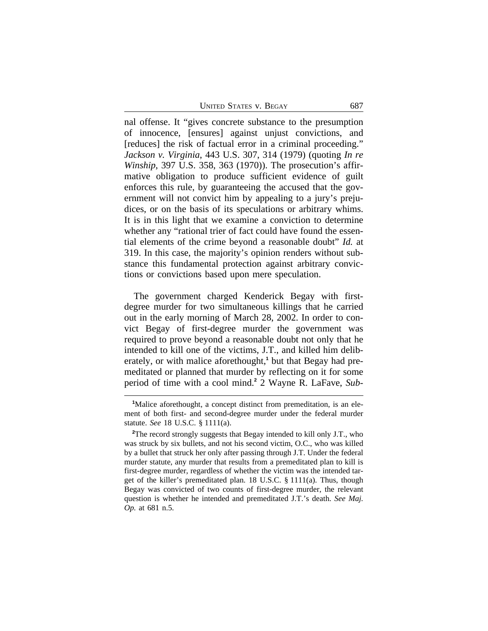UNITED STATES V. BEGAY 687

nal offense. It "gives concrete substance to the presumption of innocence, [ensures] against unjust convictions, and [reduces] the risk of factual error in a criminal proceeding." *Jackson v. Virginia*, 443 U.S. 307, 314 (1979) (quoting *In re Winship*, 397 U.S. 358, 363 (1970)). The prosecution's affirmative obligation to produce sufficient evidence of guilt enforces this rule, by guaranteeing the accused that the government will not convict him by appealing to a jury's prejudices, or on the basis of its speculations or arbitrary whims. It is in this light that we examine a conviction to determine whether any "rational trier of fact could have found the essential elements of the crime beyond a reasonable doubt" *Id.* at 319. In this case, the majority's opinion renders without substance this fundamental protection against arbitrary convictions or convictions based upon mere speculation.

The government charged Kenderick Begay with firstdegree murder for two simultaneous killings that he carried out in the early morning of March 28, 2002. In order to convict Begay of first-degree murder the government was required to prove beyond a reasonable doubt not only that he intended to kill one of the victims, J.T., and killed him deliberately, or with malice aforethought,<sup>1</sup> but that Begay had premeditated or planned that murder by reflecting on it for some period of time with a cool mind.**<sup>2</sup>** 2 Wayne R. LaFave, *Sub-*

<sup>&</sup>lt;sup>1</sup>Malice aforethought, a concept distinct from premeditation, is an element of both first- and second-degree murder under the federal murder statute. *See* 18 U.S.C. § 1111(a).

<sup>&</sup>lt;sup>2</sup>The record strongly suggests that Begay intended to kill only J.T., who was struck by six bullets, and not his second victim, O.C., who was killed by a bullet that struck her only after passing through J.T. Under the federal murder statute, any murder that results from a premeditated plan to kill is first-degree murder, regardless of whether the victim was the intended target of the killer's premeditated plan. 18 U.S.C. § 1111(a). Thus, though Begay was convicted of two counts of first-degree murder, the relevant question is whether he intended and premeditated J.T.'s death. *See Maj. Op.* at 681 n.5.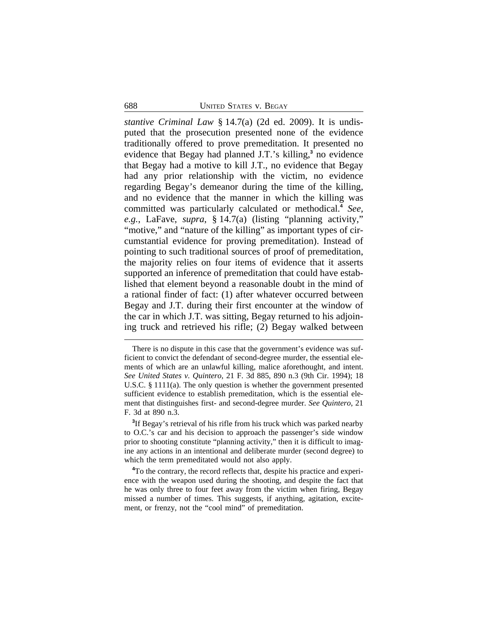*stantive Criminal Law* § 14.7(a) (2d ed. 2009). It is undisputed that the prosecution presented none of the evidence traditionally offered to prove premeditation. It presented no evidence that Begay had planned J.T.'s killing,**<sup>3</sup>** no evidence that Begay had a motive to kill J.T., no evidence that Begay had any prior relationship with the victim, no evidence regarding Begay's demeanor during the time of the killing, and no evidence that the manner in which the killing was committed was particularly calculated or methodical.**<sup>4</sup>** *See, e.g.*, LaFave, *supra*, § 14.7(a) (listing "planning activity," "motive," and "nature of the killing" as important types of circumstantial evidence for proving premeditation). Instead of pointing to such traditional sources of proof of premeditation, the majority relies on four items of evidence that it asserts supported an inference of premeditation that could have established that element beyond a reasonable doubt in the mind of a rational finder of fact: (1) after whatever occurred between Begay and J.T. during their first encounter at the window of the car in which J.T. was sitting, Begay returned to his adjoining truck and retrieved his rifle; (2) Begay walked between

There is no dispute in this case that the government's evidence was sufficient to convict the defendant of second-degree murder, the essential elements of which are an unlawful killing, malice aforethought, and intent. *See United States v. Quintero*, 21 F. 3d 885, 890 n.3 (9th Cir. 1994); 18 U.S.C. § 1111(a). The only question is whether the government presented sufficient evidence to establish premeditation, which is the essential element that distinguishes first- and second-degree murder. *See Quintero*, 21 F. 3d at 890 n.3.

**<sup>3</sup>** If Begay's retrieval of his rifle from his truck which was parked nearby to O.C.'s car and his decision to approach the passenger's side window prior to shooting constitute "planning activity," then it is difficult to imagine any actions in an intentional and deliberate murder (second degree) to which the term premeditated would not also apply.

**<sup>4</sup>**To the contrary, the record reflects that, despite his practice and experience with the weapon used during the shooting, and despite the fact that he was only three to four feet away from the victim when firing, Begay missed a number of times. This suggests, if anything, agitation, excitement, or frenzy, not the "cool mind" of premeditation.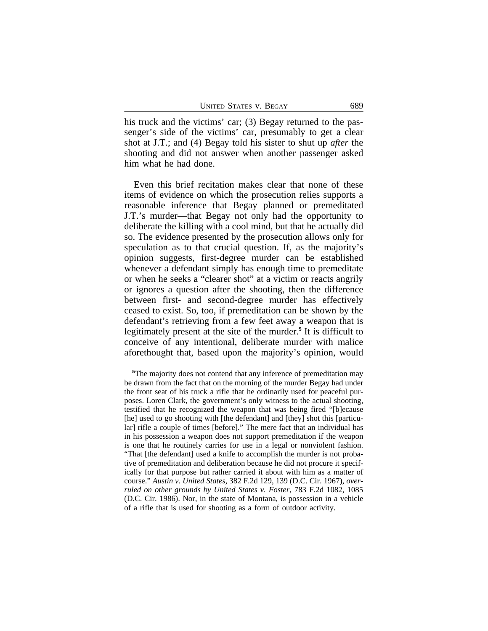his truck and the victims' car; (3) Begay returned to the passenger's side of the victims' car, presumably to get a clear shot at J.T.; and (4) Begay told his sister to shut up *after* the shooting and did not answer when another passenger asked him what he had done.

Even this brief recitation makes clear that none of these items of evidence on which the prosecution relies supports a reasonable inference that Begay planned or premeditated J.T.'s murder—that Begay not only had the opportunity to deliberate the killing with a cool mind, but that he actually did so. The evidence presented by the prosecution allows only for speculation as to that crucial question. If, as the majority's opinion suggests, first-degree murder can be established whenever a defendant simply has enough time to premeditate or when he seeks a "clearer shot" at a victim or reacts angrily or ignores a question after the shooting, then the difference between first- and second-degree murder has effectively ceased to exist. So, too, if premeditation can be shown by the defendant's retrieving from a few feet away a weapon that is legitimately present at the site of the murder.**<sup>5</sup>** It is difficult to conceive of any intentional, deliberate murder with malice aforethought that, based upon the majority's opinion, would

**<sup>5</sup>**The majority does not contend that any inference of premeditation may be drawn from the fact that on the morning of the murder Begay had under the front seat of his truck a rifle that he ordinarily used for peaceful purposes. Loren Clark, the government's only witness to the actual shooting, testified that he recognized the weapon that was being fired "[b]ecause [he] used to go shooting with [the defendant] and [they] shot this [particular] rifle a couple of times [before]." The mere fact that an individual has in his possession a weapon does not support premeditation if the weapon is one that he routinely carries for use in a legal or nonviolent fashion. "That [the defendant] used a knife to accomplish the murder is not probative of premeditation and deliberation because he did not procure it specifically for that purpose but rather carried it about with him as a matter of course." *Austin v. United States*, 382 F.2d 129, 139 (D.C. Cir. 1967), *overruled on other grounds by United States v. Foster*, 783 F.2d 1082, 1085 (D.C. Cir. 1986). Nor, in the state of Montana, is possession in a vehicle of a rifle that is used for shooting as a form of outdoor activity.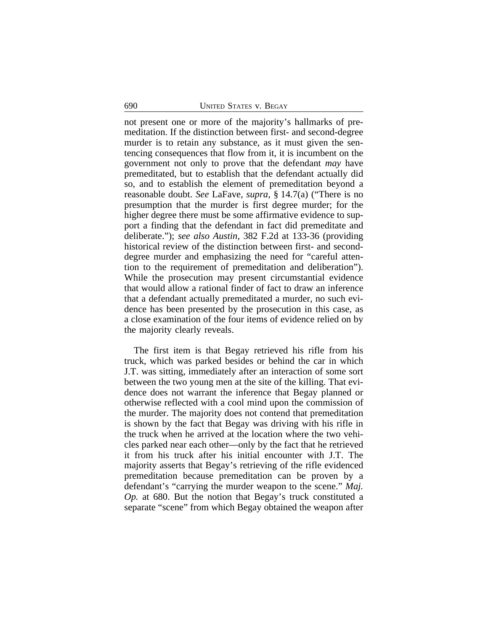not present one or more of the majority's hallmarks of premeditation. If the distinction between first- and second-degree murder is to retain any substance, as it must given the sentencing consequences that flow from it, it is incumbent on the government not only to prove that the defendant *may* have premeditated, but to establish that the defendant actually did so, and to establish the element of premeditation beyond a reasonable doubt. *See* LaFave, *supra,* § 14.7(a) ("There is no presumption that the murder is first degree murder; for the higher degree there must be some affirmative evidence to support a finding that the defendant in fact did premeditate and deliberate."); *see also Austin*, 382 F.2d at 133-36 (providing historical review of the distinction between first- and seconddegree murder and emphasizing the need for "careful attention to the requirement of premeditation and deliberation"). While the prosecution may present circumstantial evidence that would allow a rational finder of fact to draw an inference that a defendant actually premeditated a murder, no such evidence has been presented by the prosecution in this case, as a close examination of the four items of evidence relied on by the majority clearly reveals.

The first item is that Begay retrieved his rifle from his truck, which was parked besides or behind the car in which J.T. was sitting, immediately after an interaction of some sort between the two young men at the site of the killing. That evidence does not warrant the inference that Begay planned or otherwise reflected with a cool mind upon the commission of the murder. The majority does not contend that premeditation is shown by the fact that Begay was driving with his rifle in the truck when he arrived at the location where the two vehicles parked near each other—only by the fact that he retrieved it from his truck after his initial encounter with J.T. The majority asserts that Begay's retrieving of the rifle evidenced premeditation because premeditation can be proven by a defendant's "carrying the murder weapon to the scene." *Maj. Op.* at 680. But the notion that Begay's truck constituted a separate "scene" from which Begay obtained the weapon after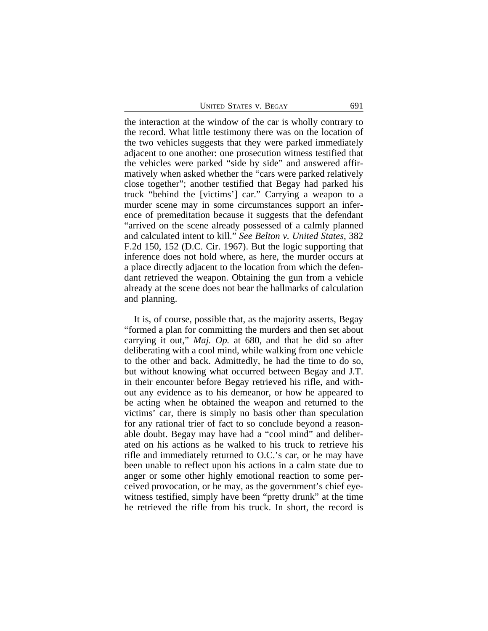| <b>UNITED STATES V. BEGAY</b> |  |  |  |  |  |  |  | 691 |
|-------------------------------|--|--|--|--|--|--|--|-----|
|-------------------------------|--|--|--|--|--|--|--|-----|

the interaction at the window of the car is wholly contrary to the record. What little testimony there was on the location of the two vehicles suggests that they were parked immediately adjacent to one another: one prosecution witness testified that the vehicles were parked "side by side" and answered affirmatively when asked whether the "cars were parked relatively close together"; another testified that Begay had parked his truck "behind the [victims'] car." Carrying a weapon to a murder scene may in some circumstances support an inference of premeditation because it suggests that the defendant "arrived on the scene already possessed of a calmly planned and calculated intent to kill." *See Belton v. United States*, 382 F.2d 150, 152 (D.C. Cir. 1967). But the logic supporting that inference does not hold where, as here, the murder occurs at a place directly adjacent to the location from which the defendant retrieved the weapon. Obtaining the gun from a vehicle already at the scene does not bear the hallmarks of calculation and planning.

It is, of course, possible that, as the majority asserts, Begay "formed a plan for committing the murders and then set about carrying it out," *Maj. Op.* at 680, and that he did so after deliberating with a cool mind, while walking from one vehicle to the other and back. Admittedly, he had the time to do so, but without knowing what occurred between Begay and J.T. in their encounter before Begay retrieved his rifle, and without any evidence as to his demeanor, or how he appeared to be acting when he obtained the weapon and returned to the victims' car, there is simply no basis other than speculation for any rational trier of fact to so conclude beyond a reasonable doubt. Begay may have had a "cool mind" and deliberated on his actions as he walked to his truck to retrieve his rifle and immediately returned to O.C.'s car, or he may have been unable to reflect upon his actions in a calm state due to anger or some other highly emotional reaction to some perceived provocation, or he may, as the government's chief eyewitness testified, simply have been "pretty drunk" at the time he retrieved the rifle from his truck. In short, the record is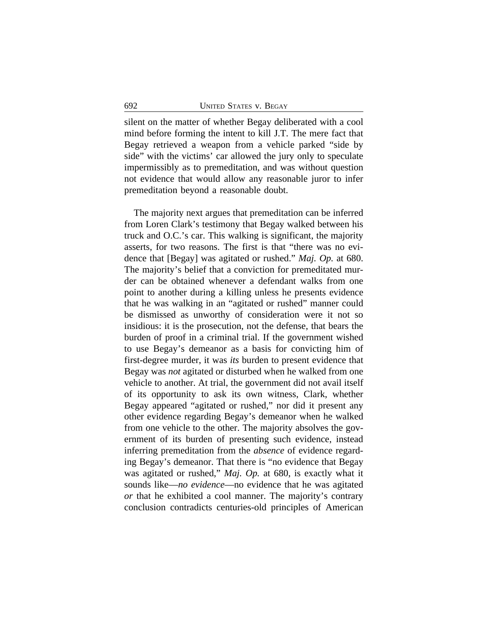silent on the matter of whether Begay deliberated with a cool mind before forming the intent to kill J.T. The mere fact that Begay retrieved a weapon from a vehicle parked "side by side" with the victims' car allowed the jury only to speculate impermissibly as to premeditation, and was without question not evidence that would allow any reasonable juror to infer premeditation beyond a reasonable doubt.

The majority next argues that premeditation can be inferred from Loren Clark's testimony that Begay walked between his truck and O.C.'s car. This walking is significant, the majority asserts, for two reasons. The first is that "there was no evidence that [Begay] was agitated or rushed." *Maj. Op.* at 680. The majority's belief that a conviction for premeditated murder can be obtained whenever a defendant walks from one point to another during a killing unless he presents evidence that he was walking in an "agitated or rushed" manner could be dismissed as unworthy of consideration were it not so insidious: it is the prosecution, not the defense, that bears the burden of proof in a criminal trial. If the government wished to use Begay's demeanor as a basis for convicting him of first-degree murder, it was *its* burden to present evidence that Begay was *not* agitated or disturbed when he walked from one vehicle to another. At trial, the government did not avail itself of its opportunity to ask its own witness, Clark, whether Begay appeared "agitated or rushed," nor did it present any other evidence regarding Begay's demeanor when he walked from one vehicle to the other. The majority absolves the government of its burden of presenting such evidence, instead inferring premeditation from the *absence* of evidence regarding Begay's demeanor. That there is "no evidence that Begay was agitated or rushed," *Maj. Op.* at 680, is exactly what it sounds like—*no evidence*—no evidence that he was agitated *or* that he exhibited a cool manner. The majority's contrary conclusion contradicts centuries-old principles of American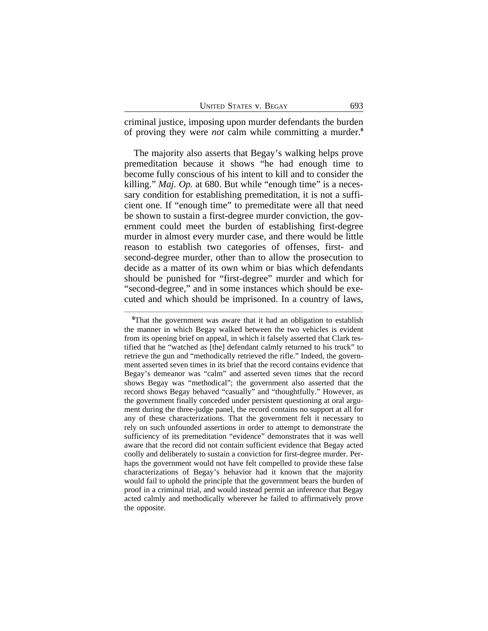| <b>UNITED STATES V. BEGAY</b> | 693 |  |
|-------------------------------|-----|--|
|                               |     |  |

criminal justice, imposing upon murder defendants the burden of proving they were *not* calm while committing a murder.**<sup>6</sup>**

The majority also asserts that Begay's walking helps prove premeditation because it shows "he had enough time to become fully conscious of his intent to kill and to consider the killing." *Maj. Op.* at 680. But while "enough time" is a necessary condition for establishing premeditation, it is not a sufficient one. If "enough time" to premeditate were all that need be shown to sustain a first-degree murder conviction, the government could meet the burden of establishing first-degree murder in almost every murder case, and there would be little reason to establish two categories of offenses, first- and second-degree murder, other than to allow the prosecution to decide as a matter of its own whim or bias which defendants should be punished for "first-degree" murder and which for "second-degree," and in some instances which should be executed and which should be imprisoned. In a country of laws,

**<sup>6</sup>**That the government was aware that it had an obligation to establish the manner in which Begay walked between the two vehicles is evident from its opening brief on appeal, in which it falsely asserted that Clark testified that he "watched as [the] defendant calmly returned to his truck" to retrieve the gun and "methodically retrieved the rifle." Indeed, the government asserted seven times in its brief that the record contains evidence that Begay's demeanor was "calm" and asserted seven times that the record shows Begay was "methodical"; the government also asserted that the record shows Begay behaved "casually" and "thoughtfully." However, as the government finally conceded under persistent questioning at oral argument during the three-judge panel, the record contains no support at all for any of these characterizations. That the government felt it necessary to rely on such unfounded assertions in order to attempt to demonstrate the sufficiency of its premeditation "evidence" demonstrates that it was well aware that the record did not contain sufficient evidence that Begay acted coolly and deliberately to sustain a conviction for first-degree murder. Perhaps the government would not have felt compelled to provide these false characterizations of Begay's behavior had it known that the majority would fail to uphold the principle that the government bears the burden of proof in a criminal trial, and would instead permit an inference that Begay acted calmly and methodically wherever he failed to affirmatively prove the opposite.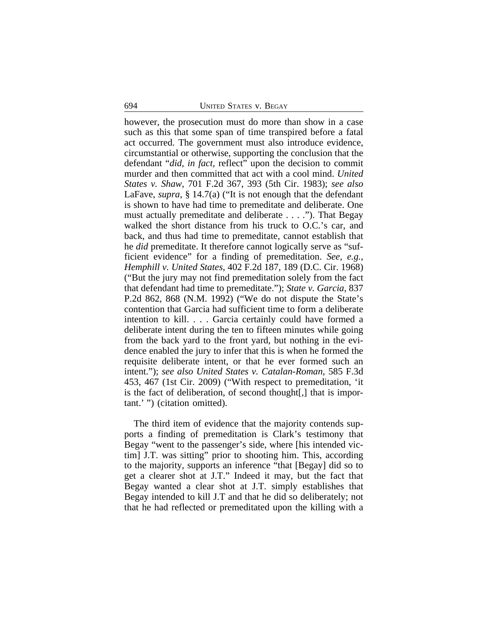however, the prosecution must do more than show in a case such as this that some span of time transpired before a fatal act occurred. The government must also introduce evidence, circumstantial or otherwise, supporting the conclusion that the defendant "*did, in fact,* reflect" upon the decision to commit murder and then committed that act with a cool mind. *United States v. Shaw*, 701 F.2d 367, 393 (5th Cir. 1983); *see also* LaFave, *supra*, § 14.7(a) ("It is not enough that the defendant is shown to have had time to premeditate and deliberate. One must actually premeditate and deliberate . . . ."). That Begay walked the short distance from his truck to O.C.'s car, and back, and thus had time to premeditate, cannot establish that he *did* premeditate. It therefore cannot logically serve as "sufficient evidence" for a finding of premeditation. *See, e.g.*, *Hemphill v. United States*, 402 F.2d 187, 189 (D.C. Cir. 1968) ("But the jury may not find premeditation solely from the fact that defendant had time to premeditate."); *State v. Garcia*, 837 P.2d 862, 868 (N.M. 1992) ("We do not dispute the State's contention that Garcia had sufficient time to form a deliberate intention to kill. . . . Garcia certainly could have formed a deliberate intent during the ten to fifteen minutes while going from the back yard to the front yard, but nothing in the evidence enabled the jury to infer that this is when he formed the requisite deliberate intent, or that he ever formed such an intent."); *see also United States v. Catalan-Roman*, 585 F.3d 453, 467 (1st Cir. 2009) ("With respect to premeditation, 'it is the fact of deliberation, of second thought[,] that is important.' ") (citation omitted).

The third item of evidence that the majority contends supports a finding of premeditation is Clark's testimony that Begay "went to the passenger's side, where [his intended victim] J.T. was sitting" prior to shooting him. This, according to the majority, supports an inference "that [Begay] did so to get a clearer shot at J.T." Indeed it may, but the fact that Begay wanted a clear shot at J.T. simply establishes that Begay intended to kill J.T and that he did so deliberately; not that he had reflected or premeditated upon the killing with a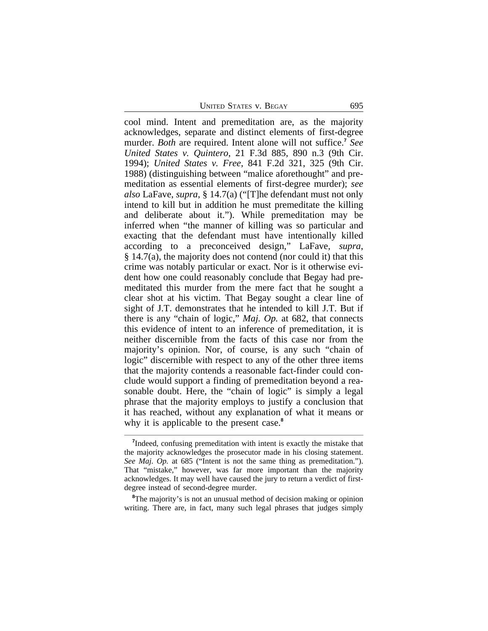UNITED STATES V. BEGAY 695

cool mind. Intent and premeditation are, as the majority acknowledges, separate and distinct elements of first-degree murder. *Both* are required. Intent alone will not suffice.**<sup>7</sup>** *See United States v. Quintero*, 21 F.3d 885, 890 n.3 (9th Cir. 1994); *United States v. Free*, 841 F.2d 321, 325 (9th Cir. 1988) (distinguishing between "malice aforethought" and premeditation as essential elements of first-degree murder); *see also* LaFave, *supra*, § 14.7(a) ("[T]he defendant must not only intend to kill but in addition he must premeditate the killing and deliberate about it."). While premeditation may be inferred when "the manner of killing was so particular and exacting that the defendant must have intentionally killed according to a preconceived design," LaFave, *supra*, § 14.7(a), the majority does not contend (nor could it) that this crime was notably particular or exact. Nor is it otherwise evident how one could reasonably conclude that Begay had premeditated this murder from the mere fact that he sought a clear shot at his victim. That Begay sought a clear line of sight of J.T. demonstrates that he intended to kill J.T. But if there is any "chain of logic," *Maj. Op.* at 682, that connects this evidence of intent to an inference of premeditation, it is neither discernible from the facts of this case nor from the majority's opinion. Nor, of course, is any such "chain of logic" discernible with respect to any of the other three items that the majority contends a reasonable fact-finder could conclude would support a finding of premeditation beyond a reasonable doubt. Here, the "chain of logic" is simply a legal phrase that the majority employs to justify a conclusion that it has reached, without any explanation of what it means or why it is applicable to the present case.**<sup>8</sup>**

<sup>8</sup>The majority's is not an unusual method of decision making or opinion writing. There are, in fact, many such legal phrases that judges simply

<sup>&</sup>lt;sup>7</sup>Indeed, confusing premeditation with intent is exactly the mistake that the majority acknowledges the prosecutor made in his closing statement. *See Maj. Op.* at 685 ("Intent is not the same thing as premeditation."). That "mistake," however, was far more important than the majority acknowledges. It may well have caused the jury to return a verdict of firstdegree instead of second-degree murder.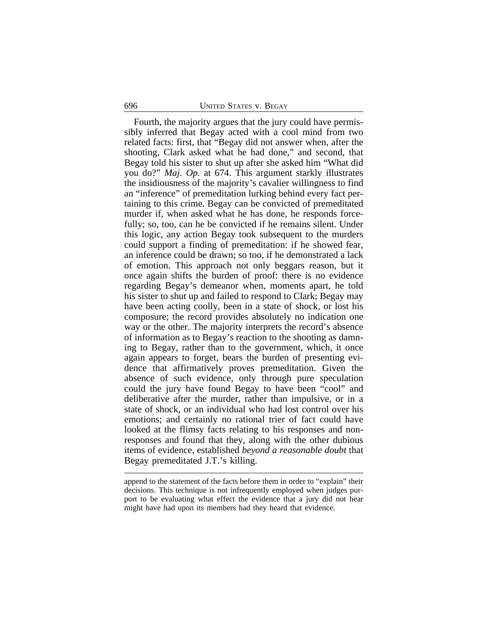#### 696 UNITED STATES v. BEGAY

Fourth, the majority argues that the jury could have permissibly inferred that Begay acted with a cool mind from two related facts: first, that "Begay did not answer when, after the shooting, Clark asked what he had done," and second, that Begay told his sister to shut up after she asked him "What did you do?" *Maj. Op.* at 674. This argument starkly illustrates the insidiousness of the majority's cavalier willingness to find an "inference" of premeditation lurking behind every fact pertaining to this crime. Begay can be convicted of premeditated murder if, when asked what he has done, he responds forcefully; so, too, can he be convicted if he remains silent. Under this logic, any action Begay took subsequent to the murders could support a finding of premeditation: if he showed fear, an inference could be drawn; so too, if he demonstrated a lack of emotion. This approach not only beggars reason, but it once again shifts the burden of proof: there is no evidence regarding Begay's demeanor when, moments apart, he told his sister to shut up and failed to respond to Clark; Begay may have been acting coolly, been in a state of shock, or lost his composure; the record provides absolutely no indication one way or the other. The majority interprets the record's absence of information as to Begay's reaction to the shooting as damning to Begay, rather than to the government, which, it once again appears to forget, bears the burden of presenting evidence that affirmatively proves premeditation. Given the absence of such evidence, only through pure speculation could the jury have found Begay to have been "cool" and deliberative after the murder, rather than impulsive, or in a state of shock, or an individual who had lost control over his emotions; and certainly no rational trier of fact could have looked at the flimsy facts relating to his responses and nonresponses and found that they, along with the other dubious items of evidence, established *beyond a reasonable doubt* that Begay premeditated J.T.'s killing.

append to the statement of the facts before them in order to "explain" their decisions. This technique is not infrequently employed when judges purport to be evaluating what effect the evidence that a jury did not hear might have had upon its members had they heard that evidence.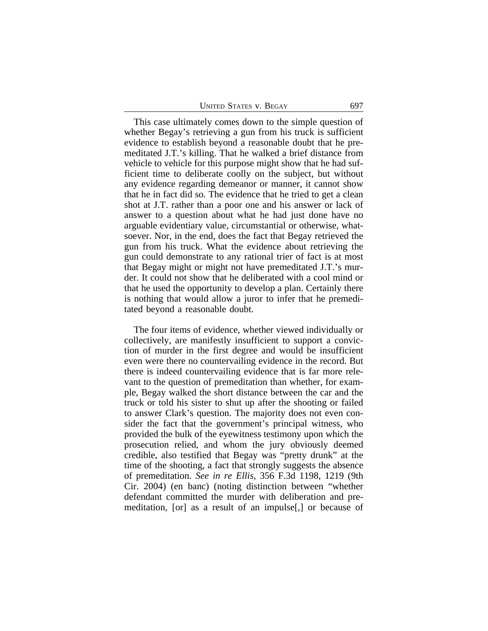| <b>UNITED STATES V. BEGAY</b><br>697 |  |
|--------------------------------------|--|
|--------------------------------------|--|

This case ultimately comes down to the simple question of whether Begay's retrieving a gun from his truck is sufficient evidence to establish beyond a reasonable doubt that he premeditated J.T.'s killing. That he walked a brief distance from vehicle to vehicle for this purpose might show that he had sufficient time to deliberate coolly on the subject, but without any evidence regarding demeanor or manner, it cannot show that he in fact did so. The evidence that he tried to get a clean shot at J.T. rather than a poor one and his answer or lack of answer to a question about what he had just done have no arguable evidentiary value, circumstantial or otherwise, whatsoever. Nor, in the end, does the fact that Begay retrieved the gun from his truck. What the evidence about retrieving the gun could demonstrate to any rational trier of fact is at most that Begay might or might not have premeditated J.T.'s murder. It could not show that he deliberated with a cool mind or that he used the opportunity to develop a plan. Certainly there is nothing that would allow a juror to infer that he premeditated beyond a reasonable doubt.

The four items of evidence, whether viewed individually or collectively, are manifestly insufficient to support a conviction of murder in the first degree and would be insufficient even were there no countervailing evidence in the record. But there is indeed countervailing evidence that is far more relevant to the question of premeditation than whether, for example, Begay walked the short distance between the car and the truck or told his sister to shut up after the shooting or failed to answer Clark's question. The majority does not even consider the fact that the government's principal witness, who provided the bulk of the eyewitness testimony upon which the prosecution relied, and whom the jury obviously deemed credible, also testified that Begay was "pretty drunk" at the time of the shooting, a fact that strongly suggests the absence of premeditation. *See in re Ellis*, 356 F.3d 1198, 1219 (9th Cir. 2004) (en banc) (noting distinction between "whether defendant committed the murder with deliberation and premeditation, [or] as a result of an impulse[,] or because of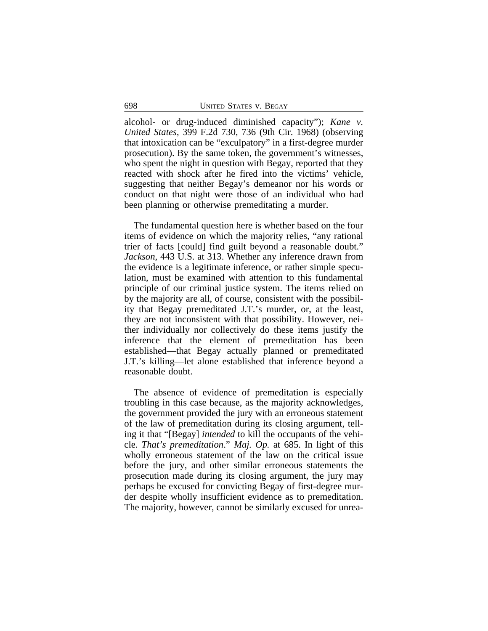alcohol- or drug-induced diminished capacity"); *Kane v. United States*, 399 F.2d 730, 736 (9th Cir. 1968) (observing that intoxication can be "exculpatory" in a first-degree murder prosecution). By the same token, the government's witnesses, who spent the night in question with Begay, reported that they reacted with shock after he fired into the victims' vehicle, suggesting that neither Begay's demeanor nor his words or conduct on that night were those of an individual who had been planning or otherwise premeditating a murder.

The fundamental question here is whether based on the four items of evidence on which the majority relies, "any rational trier of facts [could] find guilt beyond a reasonable doubt." *Jackson*, 443 U.S. at 313. Whether any inference drawn from the evidence is a legitimate inference, or rather simple speculation, must be examined with attention to this fundamental principle of our criminal justice system. The items relied on by the majority are all, of course, consistent with the possibility that Begay premeditated J.T.'s murder, or, at the least, they are not inconsistent with that possibility. However, neither individually nor collectively do these items justify the inference that the element of premeditation has been established—that Begay actually planned or premeditated J.T.'s killing—let alone established that inference beyond a reasonable doubt.

The absence of evidence of premeditation is especially troubling in this case because, as the majority acknowledges, the government provided the jury with an erroneous statement of the law of premeditation during its closing argument, telling it that "[Begay] *intended* to kill the occupants of the vehicle. *That's premeditation*." *Maj. Op.* at 685. In light of this wholly erroneous statement of the law on the critical issue before the jury, and other similar erroneous statements the prosecution made during its closing argument, the jury may perhaps be excused for convicting Begay of first-degree murder despite wholly insufficient evidence as to premeditation. The majority, however, cannot be similarly excused for unrea